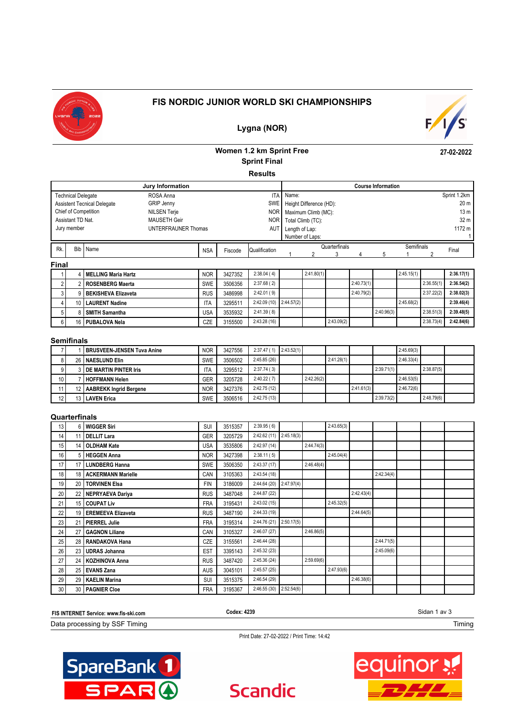

### **FIS NORDIC JUNIOR WORLD SKI CHAMPIONSHIPS**



**27-02-2022**

### **Lygna (NOR)**

### **Women 1.2 km Sprint Free Sprint Final**

**Results**

|                                                           |                                                                       |                            | Jury Information    |            |         |               |                     |                         |               |            | <b>Course Information</b> |            |                 |                 |
|-----------------------------------------------------------|-----------------------------------------------------------------------|----------------------------|---------------------|------------|---------|---------------|---------------------|-------------------------|---------------|------------|---------------------------|------------|-----------------|-----------------|
|                                                           | <b>Technical Delegate</b>                                             |                            | ROSA Anna           |            |         | <b>ITA</b>    | Name:               |                         |               |            |                           |            |                 | Sprint 1.2km    |
|                                                           | <b>GRIP Jenny</b><br><b>SWE</b><br><b>Assistent Tecnical Delegate</b> |                            |                     |            |         |               |                     | Height Difference (HD): |               |            |                           |            |                 | 20 <sub>m</sub> |
| Chief of Competition<br><b>NILSEN Terje</b><br><b>NOR</b> |                                                                       |                            |                     |            |         |               | Maximum Climb (MC): |                         |               |            |                           |            | 13 <sub>m</sub> |                 |
|                                                           | Assistant TD Nat.                                                     |                            | <b>MAUSETH Geir</b> |            |         | <b>NOR</b>    |                     | Total Climb (TC):       |               |            |                           |            |                 | 32 m            |
|                                                           | Jury member                                                           |                            | UNTERFRAUNER Thomas |            |         | AUT           | Length of Lap:      |                         |               |            |                           |            |                 | 1172 m          |
|                                                           |                                                                       |                            |                     |            |         |               |                     | Number of Laps:         |               |            |                           |            |                 |                 |
| Rk.                                                       |                                                                       |                            |                     |            |         |               |                     |                         |               |            |                           | Semifinals |                 |                 |
|                                                           |                                                                       |                            |                     |            |         |               |                     |                         | Quarterfinals |            |                           |            |                 |                 |
|                                                           |                                                                       | Bib Name                   |                     | <b>NSA</b> | Fiscode | Qualification |                     |                         |               |            |                           |            |                 | Final           |
| <b>Final</b>                                              |                                                                       |                            |                     |            |         |               |                     |                         |               |            |                           |            |                 |                 |
|                                                           |                                                                       | 4   MELLING Maria Hartz    |                     | <b>NOR</b> | 3427352 | 2:38.04(4)    |                     | 2:41.80(1)              |               |            |                           | 2:45.15(1) |                 | 2:36.17(1)      |
| 2                                                         |                                                                       | <b>ROSENBERG Maerta</b>    |                     | <b>SWE</b> | 3506356 | 2:37.68(2)    |                     |                         |               | 2:40.73(1) |                           |            | 2:36.55(1)      | 2:36.54(2)      |
| 3 I                                                       |                                                                       | <b>BEKISHEVA Elizaveta</b> |                     | <b>RUS</b> | 3486998 | 2:42.01(9)    |                     |                         |               | 2:40.79(2) |                           |            | 2:37.22(2)      | 2:38.02(3)      |

#### **Semifinals**

|                 | <b>BRUSVEEN-JENSEN Tuva Anine</b> | <b>NOR</b> | 3427556 | 2:37.47(1)  | 2:43.52(1) |            |            |            |            | 2:45.69(3) |            |  |
|-----------------|-----------------------------------|------------|---------|-------------|------------|------------|------------|------------|------------|------------|------------|--|
|                 | 26   NAESLUND Elin                | <b>SWE</b> | 3506502 | 2:45.85(26) |            |            | 2:41.28(1) |            |            | 2:46.33(4) |            |  |
|                 | <b>3 I DE MARTIN PINTER Iris</b>  | ۱TA        | 3295512 | 2:37.74(3)  |            |            |            |            | 2:39.71(1) |            | 2:38.87(5) |  |
| 10 <sup>1</sup> | <b>HOFFMANN Helen</b>             | GER        | 3205728 | 2:40.22(7)  |            | 2:42.26(2) |            |            |            | 2:46.53(5) |            |  |
|                 | 12   AABREKK Ingrid Bergene       | <b>NOR</b> | 3427376 | 2:42.75(12) |            |            |            | 2:41.61(3) |            | 2:46.72(6) |            |  |
| 12              | 13 LAVEN Erica                    | <b>SWE</b> | 3506516 | 2:42.75(13) |            |            |            |            | 2:39.73(2) |            | 2:48.79(6) |  |

 5 8 **SMITH Samantha** USA 3535932 2:41.39 ( 8) 2:40.96(3) 2:38.51(3) **2:39.48(5)** 6 16 **PUBALOVA Nela** CZE 3155500 2:43.28 (16) 2:43.09(2) 2:38.73(4) **2:42.84(6)**

### **Quarterfinals**

| 13              | 6 WIGGER Siri         | <b>SUI</b> | 3515357 | 2:39.95(6)   |            |            | 2:43.65(3) |            |            |  |  |
|-----------------|-----------------------|------------|---------|--------------|------------|------------|------------|------------|------------|--|--|
| 14 <sub>1</sub> | 11   DELLIT Lara      | <b>GER</b> | 3205729 | 2:42.62 (11) | 2:45.18(3) |            |            |            |            |  |  |
| 15              | 14 OLDHAM Kate        | <b>USA</b> | 3535806 | 2:42.97 (14) |            | 2:44.74(3) |            |            |            |  |  |
| 16              | 5 HEGGEN Anna         | <b>NOR</b> | 3427398 | 2:38.11(5)   |            |            | 2:45.04(4) |            |            |  |  |
| 17              | 17   LUNDBERG Hanna   | <b>SWE</b> | 3506350 | 2:43.37(17)  |            | 2:46.48(4) |            |            |            |  |  |
| 18              | 18 ACKERMANN Marielle | CAN        | 3105363 | 2:43.54(18)  |            |            |            |            | 2:42.34(4) |  |  |
| 19              | 20 TORVINEN Elsa      | <b>FIN</b> | 3186009 | 2:44.64 (20) | 2:47.97(4) |            |            |            |            |  |  |
| 20              | 22 NEPRYAEVA Dariya   | <b>RUS</b> | 3487048 | 2:44.87 (22) |            |            |            | 2:42.43(4) |            |  |  |
| 21              | 15 COUPAT Liv         | <b>FRA</b> | 3195431 | 2:43.02(15)  |            |            | 2:45.32(5) |            |            |  |  |
| 22              | 19 EREMEEVA Elizaveta | <b>RUS</b> | 3487190 | 2:44.33 (19) |            |            |            | 2:44.64(5) |            |  |  |
| 23              | 21 PIERREL Julie      | <b>FRA</b> | 3195314 | 2:44.76 (21) | 2:50.17(5) |            |            |            |            |  |  |
| 24              | 27   GAGNON Liliane   | CAN        | 3105327 | 2:46.07(27)  |            | 2:46.86(5) |            |            |            |  |  |
| 25              | 28   RANDAKOVA Hana   | CZE        | 3155561 | 2:46.44(28)  |            |            |            |            | 2:44.71(5) |  |  |
| 26              | 23 UDRAS Johanna      | <b>EST</b> | 3395143 | 2:45.32(23)  |            |            |            |            | 2:45.09(6) |  |  |
| 27              | 24   KOZHINOVA Anna   | <b>RUS</b> | 3487420 | 2:45.36(24)  |            | 2:59.69(6) |            |            |            |  |  |
| 28              | 25 EVANS Zana         | <b>AUS</b> | 3045101 | 2:45.57(25)  |            |            | 2:47.93(6) |            |            |  |  |
| 29              | 29   KAELIN Marina    | SUI        | 3515375 | 2:46.54(29)  |            |            |            | 2:46.38(6) |            |  |  |
| 30              | 30   PAGNIER Cloe     | <b>FRA</b> | 3195367 | 2:46.55(30)  | 2:52.54(6) |            |            |            |            |  |  |

| FIS INTERNET Service: www.fis-ski.com | Codex: 4239 | Sidan 1 av 3 |
|---------------------------------------|-------------|--------------|
| Data processing by SSF Timing         |             | Timing       |

**Scandic** 

Print Date: 27-02-2022 / Print Time: 14:42



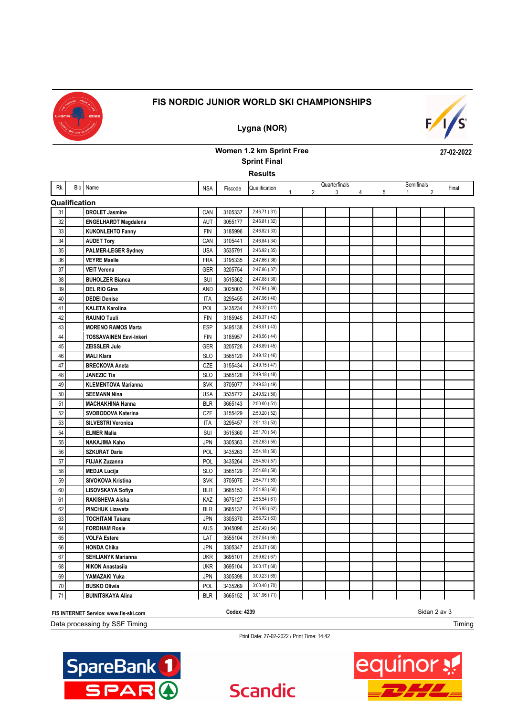

### **FIS NORDIC JUNIOR WORLD SKI CHAMPIONSHIPS**

**Lygna (NOR)**

# $F/1/S$

# **Women 1.2 km Sprint Free**

**27-02-2022**

**Results Sprint Final**

| Rk. |               | Bib Name                       | <b>NSA</b> | Fiscode | Qualification |   |                | Quarterfinals |                        |                | Semifinals   |                | Final |
|-----|---------------|--------------------------------|------------|---------|---------------|---|----------------|---------------|------------------------|----------------|--------------|----------------|-------|
|     |               |                                |            |         |               | 1 | $\overline{2}$ | 3             | $4 \quad \blacksquare$ | 5 <sup>5</sup> | $\mathbf{1}$ | $\mathfrak{p}$ |       |
|     | Qualification |                                |            |         |               |   |                |               |                        |                |              |                |       |
| 31  |               | <b>DROLET Jasmine</b>          | CAN        | 3105337 | 2:46.71 (31)  |   |                |               |                        |                |              |                |       |
| 32  |               | <b>ENGELHARDT Magdalena</b>    | <b>AUT</b> | 3055177 | 2:46.81 (32)  |   |                |               |                        |                |              |                |       |
| 33  |               | <b>KUKONLEHTO Fanny</b>        | <b>FIN</b> | 3185996 | 2:46.82 (33)  |   |                |               |                        |                |              |                |       |
| 34  |               | <b>AUDET Tory</b>              | CAN        | 3105441 | 2:46.84 (34)  |   |                |               |                        |                |              |                |       |
| 35  |               | PALMER-LEGER Sydney            | <b>USA</b> | 3535791 | 2:46.92 (35)  |   |                |               |                        |                |              |                |       |
| 36  |               | <b>VEYRE Maelle</b>            | <b>FRA</b> | 3195335 | 2:47.66 (36)  |   |                |               |                        |                |              |                |       |
| 37  |               | <b>VEIT Verena</b>             | <b>GER</b> | 3205754 | 2:47.86 (37)  |   |                |               |                        |                |              |                |       |
| 38  |               | <b>BUHOLZER Bianca</b>         | <b>SUI</b> | 3515362 | 2:47.88 (38)  |   |                |               |                        |                |              |                |       |
| 39  |               | <b>DEL RIO Gina</b>            | AND        | 3025003 | 2:47.94 (39)  |   |                |               |                        |                |              |                |       |
| 40  |               | <b>DEDEI Denise</b>            | <b>ITA</b> | 3295455 | 2:47.96 (40)  |   |                |               |                        |                |              |                |       |
| 41  |               | <b>KALETA Karolina</b>         | POL        | 3435234 | 2:48.32(41)   |   |                |               |                        |                |              |                |       |
| 42  |               | <b>RAUNIO Tuuli</b>            | <b>FIN</b> | 3185945 | 2:48.37 (42)  |   |                |               |                        |                |              |                |       |
| 43  |               | <b>MORENO RAMOS Marta</b>      | <b>ESP</b> | 3495138 | 2:48.51 (43)  |   |                |               |                        |                |              |                |       |
| 44  |               | <b>TOSSAVAINEN Eevi-Inkeri</b> | <b>FIN</b> | 3185957 | 2:48.56(44)   |   |                |               |                        |                |              |                |       |
| 45  |               | <b>ZEISSLER Jule</b>           | <b>GER</b> | 3205726 | 2:48.89 (45)  |   |                |               |                        |                |              |                |       |
| 46  |               | <b>MALI Klara</b>              | <b>SLO</b> | 3565120 | 2:49.12 (46)  |   |                |               |                        |                |              |                |       |
| 47  |               | <b>BRECKOVA Aneta</b>          | CZE        | 3155434 | 2:49.15 (47)  |   |                |               |                        |                |              |                |       |
| 48  |               | <b>JANEZIC Tia</b>             | <b>SLO</b> | 3565128 | 2:49.18 (48)  |   |                |               |                        |                |              |                |       |
| 49  |               | <b>KLEMENTOVA Marianna</b>     | <b>SVK</b> | 3705077 | 2:49.53 (49)  |   |                |               |                        |                |              |                |       |
| 50  |               | <b>SEEMANN Nina</b>            | <b>USA</b> | 3535772 | 2:49.92 (50)  |   |                |               |                        |                |              |                |       |
| 51  |               | <b>MACHAKHINA Hanna</b>        | <b>BLR</b> | 3665143 | 2:50.00(51)   |   |                |               |                        |                |              |                |       |
| 52  |               | SVOBODOVA Katerina             | CZE        | 3155429 | 2:50.20 (52)  |   |                |               |                        |                |              |                |       |
| 53  |               | SILVESTRI Veronica             | <b>ITA</b> | 3295457 | 2:51.13(53)   |   |                |               |                        |                |              |                |       |
| 54  |               | <b>ELMER Malia</b>             | SUI        | 3515360 | 2:51.70 (54)  |   |                |               |                        |                |              |                |       |
| 55  |               | <b>NAKAJIMA Kaho</b>           | <b>JPN</b> | 3305363 | 2:52.63(55)   |   |                |               |                        |                |              |                |       |
| 56  |               | <b>SZKURAT Daria</b>           | POL        | 3435263 | 2:54.18(56)   |   |                |               |                        |                |              |                |       |
| 57  |               | <b>FUJAK Zuzanna</b>           | POL        | 3435264 | 2:54.50 (57)  |   |                |               |                        |                |              |                |       |
| 58  |               | <b>MEDJA Lucija</b>            | <b>SLO</b> | 3565129 | 2:54.68 (58)  |   |                |               |                        |                |              |                |       |
| 59  |               | SIVOKOVA Kristina              | <b>SVK</b> | 3705075 | 2:54.77 (59)  |   |                |               |                        |                |              |                |       |
| 60  |               | LISOVSKAYA Sofiya              | <b>BLR</b> | 3665153 | 2:54.93 (60)  |   |                |               |                        |                |              |                |       |
| 61  |               | RAKISHEVA Aisha                | KAZ        | 3675127 | 2:55.54(61)   |   |                |               |                        |                |              |                |       |
| 62  |               | <b>PINCHUK Lizaveta</b>        | <b>BLR</b> | 3665137 | 2:55.93(62)   |   |                |               |                        |                |              |                |       |
| 63  |               | <b>TOCHITANI Takane</b>        | <b>JPN</b> | 3305370 | 2:56.72 (63)  |   |                |               |                        |                |              |                |       |
| 64  |               | <b>FORDHAM Rosie</b>           | <b>AUS</b> | 3045096 | 2:57.49 (64)  |   |                |               |                        |                |              |                |       |
| 65  |               | <b>VOLFA Estere</b>            | LAT        | 3555104 | 2:57.54(65)   |   |                |               |                        |                |              |                |       |
| 66  |               | <b>HONDA Chika</b>             | <b>JPN</b> | 3305347 | 2:58.37 (66)  |   |                |               |                        |                |              |                |       |
| 67  |               | <b>SEHLIANYK Marianna</b>      | <b>UKR</b> | 3695101 | 2:59.62(67)   |   |                |               |                        |                |              |                |       |
| 68  |               | <b>NIKON Anastasija</b>        | <b>UKR</b> | 3695104 | 3:00.17(68)   |   |                |               |                        |                |              |                |       |
| 69  |               | YAMAZAKI Yuka                  | <b>JPN</b> | 3305398 | 3:00.23(69)   |   |                |               |                        |                |              |                |       |
| 70  |               | <b>BUSKO Oliwia</b>            | POL        | 3435269 | 3:00.40 (70)  |   |                |               |                        |                |              |                |       |
| 71  |               | <b>BUINITSKAYA Alina</b>       | <b>BLR</b> | 3665152 | 3:01.96(71)   |   |                |               |                        |                |              |                |       |

| FIS INTERNET Service: www.fis-ski.com | Codex: 4239 | Sidan 2 av 3 |
|---------------------------------------|-------------|--------------|
| Data processing by SSF Timing         |             | Timing       |